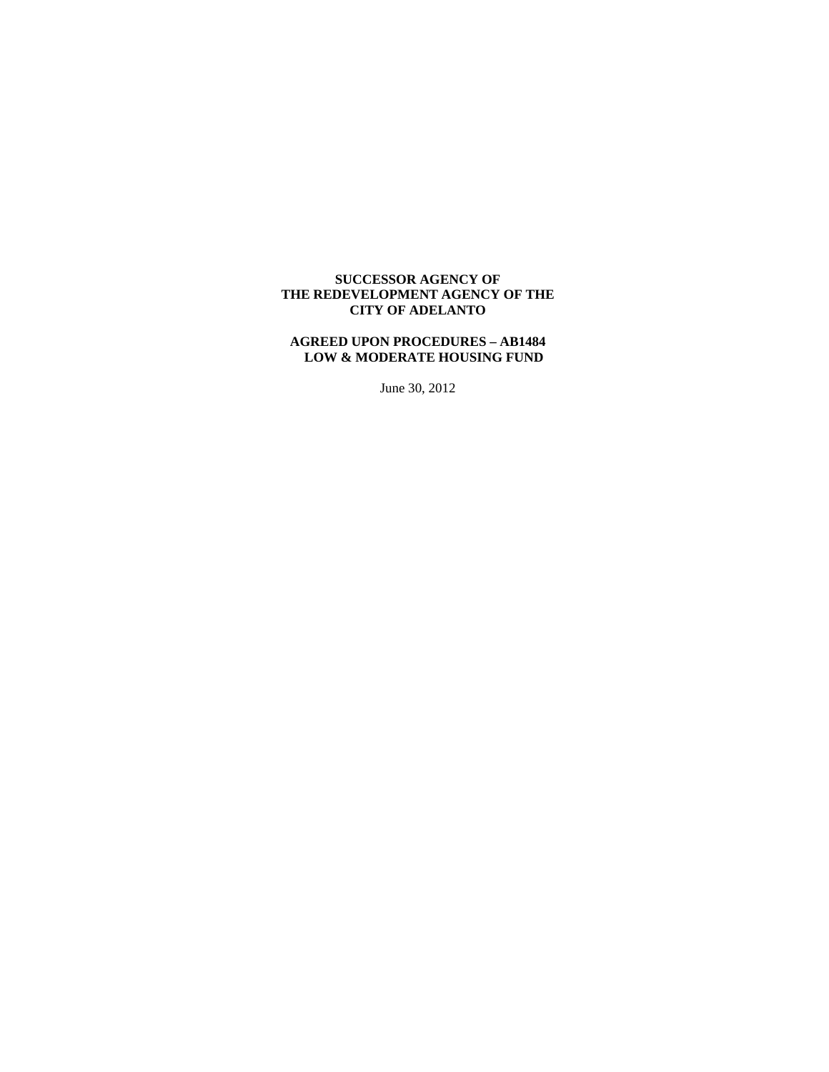### **SUCCESSOR AGENCY OF THE REDEVELOPMENT AGENCY OF THE CITY OF ADELANTO**

### **AGREED UPON PROCEDURES – AB1484 LOW & MODERATE HOUSING FUND**

June 30, 2012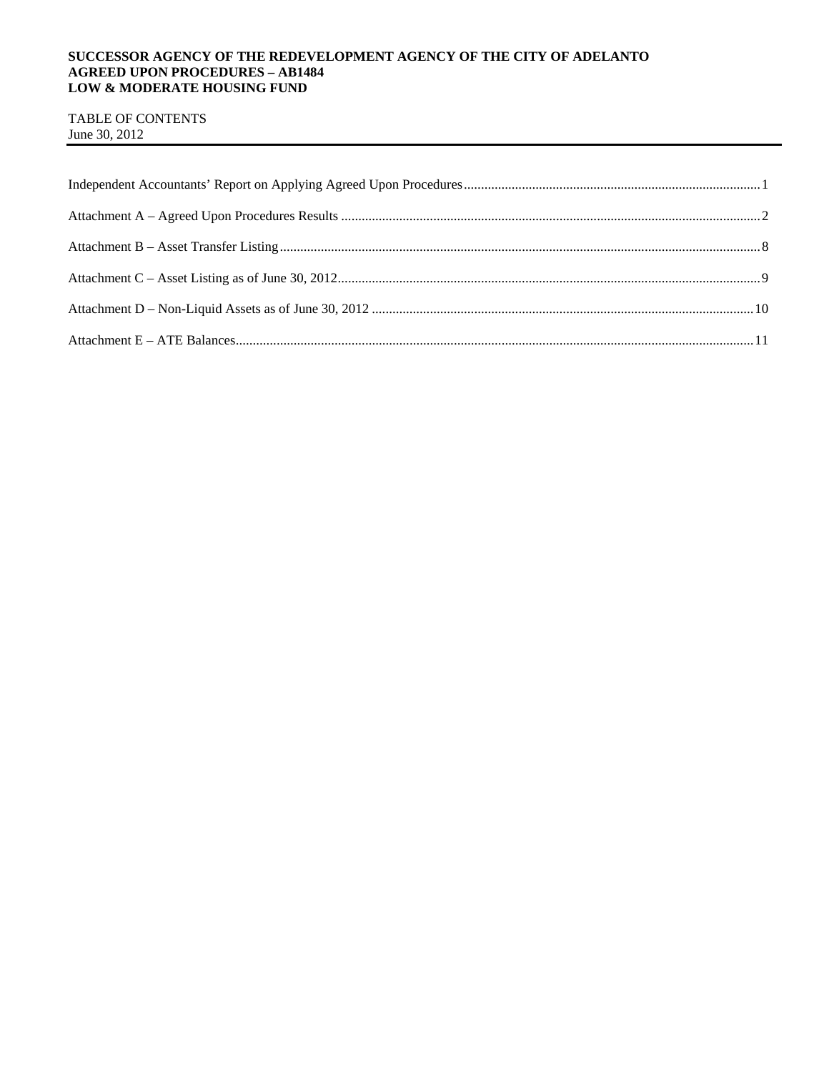## **SUCCESSOR AGENCY OF THE REDEVELOPMENT AGENCY OF THE CITY OF ADELANTO AGREED UPON PROCEDURES – AB1484 LOW & MODERATE HOUSING FUND**

### TABLE OF CONTENTS June 30, 2012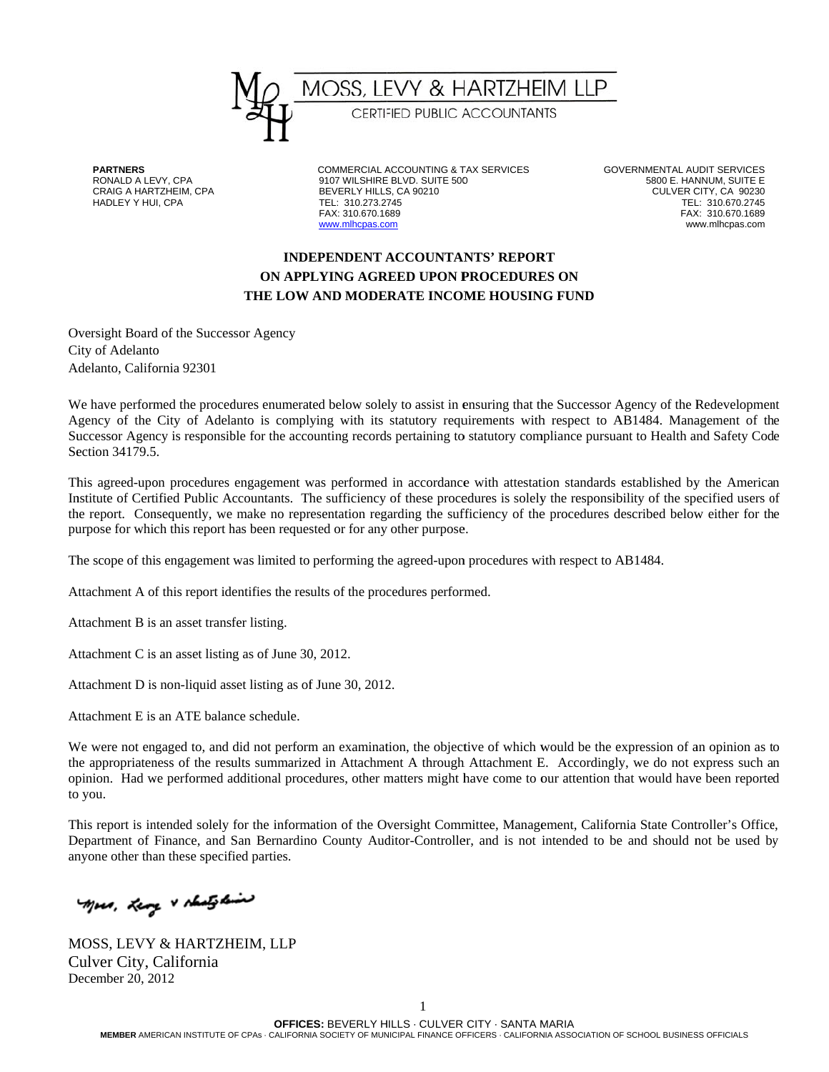

**PARTNERS**  RONALD A LEVY, CPA CRAIG A HART TZHEIM, CPA HADLEY Y HUI, CPA

COMMERCIAL ACCOUNTING & TAX SERVICES 9107 WILSHIRE E BLVD. SUITE 500 0BEVERLY HILLS, CA 90210 TEL: 310.273.2745 FAX: 310.670.16 689 www.mlhcpas.o om

GOVERNMENTAL AUDIT SERVICES 5800 E. HAN NNUM, SUITE E CULVER C CITY, CA 90230 TEL L: 310.670.2745 FAX X: 310.670.1689 ww ww.mlhcpas.com

# INDEPENDENT ACCOUNTANTS' REPORT **ON APP PLYING AGR REED UPON P PROCEDURE ES ON**  THE LOW AND MODERATE INCOME HOUSING FUND

Oversight Board of the Successor Agency C ity of Adelanto City of Adelanto<br>Adelanto, California 92301

We have performed the procedures enumerated below solely to assist in ensuring that the Successor Agency of the Redevelopment Agency of the City of Adelanto is complying with its statutory requirements with respect to AB1484. Management of the Successor Agency is responsible for the accounting records pertaining to statutory compliance pursuant to Health and Safety Code Section 34179.5.

This agreed-upon procedures engagement was performed in accordance with attestation standards established by the American Institute of Certified Public Accountants. The sufficiency of these procedures is solely the responsibility of the specified users of the report. Consequently, we make no representation regarding the sufficiency of the procedures described below either for the purpose for which this report has been requested or for any other purpose.

The scope of this engagement was limited to performing the agreed-upon procedures with respect to AB1484.

Attachment A of this report identifies the results of the procedures performed.

Attachment B is an asset transfer listing.

Attachment C is an asset listing as of June 30, 2012.

Attachment D is non-liquid asset listing as of June 30, 2012.

Attachment E is an ATE balance schedule.

We were not engaged to, and did not perform an examination, the objective of which would be the expression of an opinion as to the appropriateness of the results summarized in Attachment A through Attachment E. Accordingly, we do not express such an opinion. Had we performed additional procedures, other matters might have come to our attention that would have been reported to you.

This report is intended solely for the information of the Oversight Committee, Management, California State Controller's Office, Department of Finance, and San Bernardino County Auditor-Controller, and is not intended to be and should not be used by anyone other than these specified parties.

Mores, Leary & shates him

MOSS, LEVY & HARTZHEIM, LLP C Culver City, C California D December 20, 2 012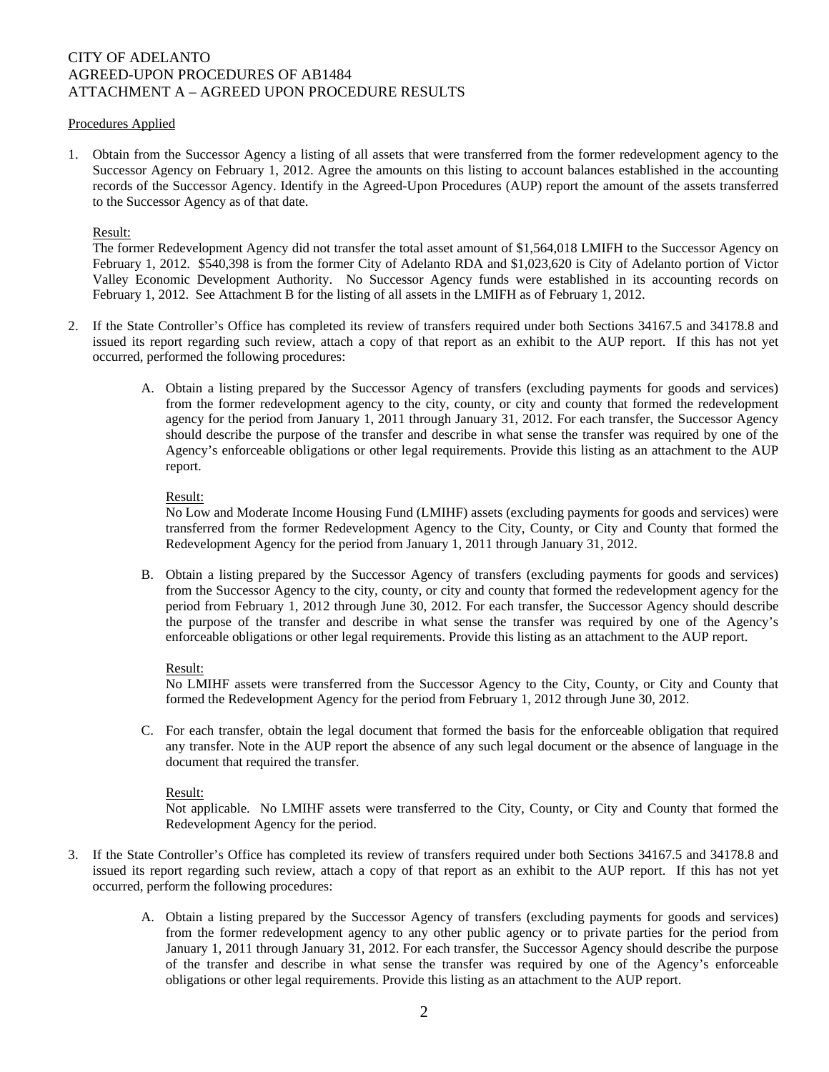### Procedures Applied

1. Obtain from the Successor Agency a listing of all assets that were transferred from the former redevelopment agency to the Successor Agency on February 1, 2012. Agree the amounts on this listing to account balances established in the accounting records of the Successor Agency. Identify in the Agreed-Upon Procedures (AUP) report the amount of the assets transferred to the Successor Agency as of that date.

### Result:

The former Redevelopment Agency did not transfer the total asset amount of \$1,564,018 LMIFH to the Successor Agency on February 1, 2012. \$540,398 is from the former City of Adelanto RDA and \$1,023,620 is City of Adelanto portion of Victor Valley Economic Development Authority. No Successor Agency funds were established in its accounting records on February 1, 2012. See Attachment B for the listing of all assets in the LMIFH as of February 1, 2012.

- 2. If the State Controller's Office has completed its review of transfers required under both Sections 34167.5 and 34178.8 and issued its report regarding such review, attach a copy of that report as an exhibit to the AUP report. If this has not yet occurred, performed the following procedures:
	- A. Obtain a listing prepared by the Successor Agency of transfers (excluding payments for goods and services) from the former redevelopment agency to the city, county, or city and county that formed the redevelopment agency for the period from January 1, 2011 through January 31, 2012. For each transfer, the Successor Agency should describe the purpose of the transfer and describe in what sense the transfer was required by one of the Agency's enforceable obligations or other legal requirements. Provide this listing as an attachment to the AUP report.

### Result:

No Low and Moderate Income Housing Fund (LMIHF) assets (excluding payments for goods and services) were transferred from the former Redevelopment Agency to the City, County, or City and County that formed the Redevelopment Agency for the period from January 1, 2011 through January 31, 2012.

B. Obtain a listing prepared by the Successor Agency of transfers (excluding payments for goods and services) from the Successor Agency to the city, county, or city and county that formed the redevelopment agency for the period from February 1, 2012 through June 30, 2012. For each transfer, the Successor Agency should describe the purpose of the transfer and describe in what sense the transfer was required by one of the Agency's enforceable obligations or other legal requirements. Provide this listing as an attachment to the AUP report.

### Result:

No LMIHF assets were transferred from the Successor Agency to the City, County, or City and County that formed the Redevelopment Agency for the period from February 1, 2012 through June 30, 2012.

C. For each transfer, obtain the legal document that formed the basis for the enforceable obligation that required any transfer. Note in the AUP report the absence of any such legal document or the absence of language in the document that required the transfer.

### Result:

Not applicable. No LMIHF assets were transferred to the City, County, or City and County that formed the Redevelopment Agency for the period.

- 3. If the State Controller's Office has completed its review of transfers required under both Sections 34167.5 and 34178.8 and issued its report regarding such review, attach a copy of that report as an exhibit to the AUP report. If this has not yet occurred, perform the following procedures:
	- A. Obtain a listing prepared by the Successor Agency of transfers (excluding payments for goods and services) from the former redevelopment agency to any other public agency or to private parties for the period from January 1, 2011 through January 31, 2012. For each transfer, the Successor Agency should describe the purpose of the transfer and describe in what sense the transfer was required by one of the Agency's enforceable obligations or other legal requirements. Provide this listing as an attachment to the AUP report.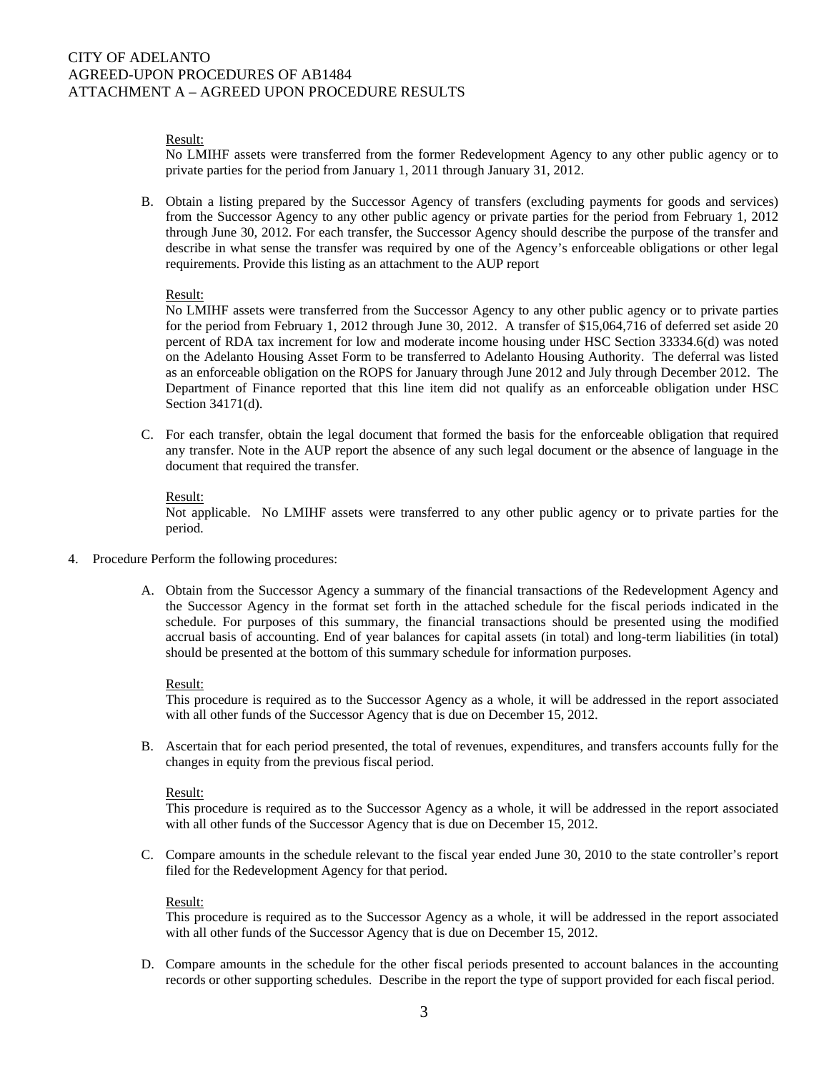### Result:

No LMIHF assets were transferred from the former Redevelopment Agency to any other public agency or to private parties for the period from January 1, 2011 through January 31, 2012.

B. Obtain a listing prepared by the Successor Agency of transfers (excluding payments for goods and services) from the Successor Agency to any other public agency or private parties for the period from February 1, 2012 through June 30, 2012. For each transfer, the Successor Agency should describe the purpose of the transfer and describe in what sense the transfer was required by one of the Agency's enforceable obligations or other legal requirements. Provide this listing as an attachment to the AUP report

### Result:

No LMIHF assets were transferred from the Successor Agency to any other public agency or to private parties for the period from February 1, 2012 through June 30, 2012. A transfer of \$15,064,716 of deferred set aside 20 percent of RDA tax increment for low and moderate income housing under HSC Section 33334.6(d) was noted on the Adelanto Housing Asset Form to be transferred to Adelanto Housing Authority. The deferral was listed as an enforceable obligation on the ROPS for January through June 2012 and July through December 2012. The Department of Finance reported that this line item did not qualify as an enforceable obligation under HSC Section 34171(d).

C. For each transfer, obtain the legal document that formed the basis for the enforceable obligation that required any transfer. Note in the AUP report the absence of any such legal document or the absence of language in the document that required the transfer.

### Result:

Not applicable. No LMIHF assets were transferred to any other public agency or to private parties for the period.

- 4. Procedure Perform the following procedures:
	- A. Obtain from the Successor Agency a summary of the financial transactions of the Redevelopment Agency and the Successor Agency in the format set forth in the attached schedule for the fiscal periods indicated in the schedule. For purposes of this summary, the financial transactions should be presented using the modified accrual basis of accounting. End of year balances for capital assets (in total) and long-term liabilities (in total) should be presented at the bottom of this summary schedule for information purposes.

### Result:

This procedure is required as to the Successor Agency as a whole, it will be addressed in the report associated with all other funds of the Successor Agency that is due on December 15, 2012.

B. Ascertain that for each period presented, the total of revenues, expenditures, and transfers accounts fully for the changes in equity from the previous fiscal period.

#### Result:

This procedure is required as to the Successor Agency as a whole, it will be addressed in the report associated with all other funds of the Successor Agency that is due on December 15, 2012.

C. Compare amounts in the schedule relevant to the fiscal year ended June 30, 2010 to the state controller's report filed for the Redevelopment Agency for that period.

### Result:

This procedure is required as to the Successor Agency as a whole, it will be addressed in the report associated with all other funds of the Successor Agency that is due on December 15, 2012.

D. Compare amounts in the schedule for the other fiscal periods presented to account balances in the accounting records or other supporting schedules. Describe in the report the type of support provided for each fiscal period.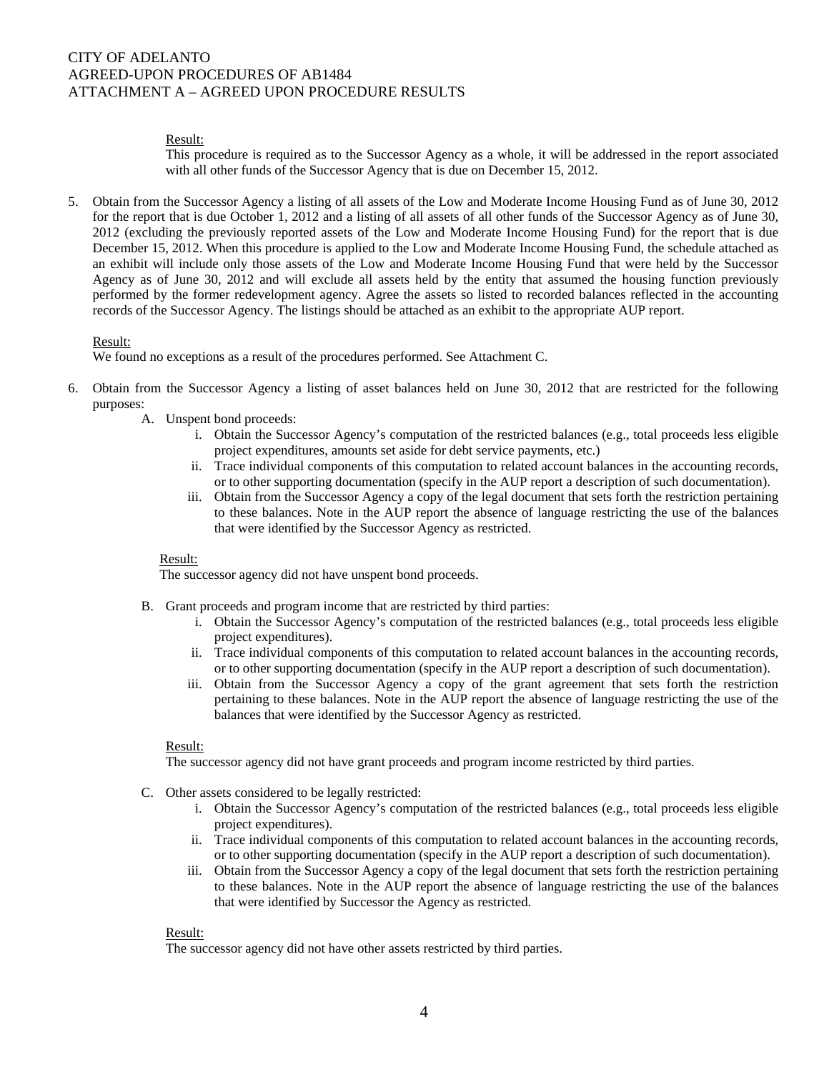### Result:

This procedure is required as to the Successor Agency as a whole, it will be addressed in the report associated with all other funds of the Successor Agency that is due on December 15, 2012.

5. Obtain from the Successor Agency a listing of all assets of the Low and Moderate Income Housing Fund as of June 30, 2012 for the report that is due October 1, 2012 and a listing of all assets of all other funds of the Successor Agency as of June 30, 2012 (excluding the previously reported assets of the Low and Moderate Income Housing Fund) for the report that is due December 15, 2012. When this procedure is applied to the Low and Moderate Income Housing Fund, the schedule attached as an exhibit will include only those assets of the Low and Moderate Income Housing Fund that were held by the Successor Agency as of June 30, 2012 and will exclude all assets held by the entity that assumed the housing function previously performed by the former redevelopment agency. Agree the assets so listed to recorded balances reflected in the accounting records of the Successor Agency. The listings should be attached as an exhibit to the appropriate AUP report.

### Result:

We found no exceptions as a result of the procedures performed. See Attachment C.

6. Obtain from the Successor Agency a listing of asset balances held on June 30, 2012 that are restricted for the following purposes:

A. Unspent bond proceeds:

- i. Obtain the Successor Agency's computation of the restricted balances (e.g., total proceeds less eligible project expenditures, amounts set aside for debt service payments, etc.)
- ii. Trace individual components of this computation to related account balances in the accounting records, or to other supporting documentation (specify in the AUP report a description of such documentation).
- iii. Obtain from the Successor Agency a copy of the legal document that sets forth the restriction pertaining to these balances. Note in the AUP report the absence of language restricting the use of the balances that were identified by the Successor Agency as restricted.

### Result:

The successor agency did not have unspent bond proceeds.

- B. Grant proceeds and program income that are restricted by third parties:
	- i. Obtain the Successor Agency's computation of the restricted balances (e.g., total proceeds less eligible project expenditures).
	- ii. Trace individual components of this computation to related account balances in the accounting records, or to other supporting documentation (specify in the AUP report a description of such documentation).
	- iii. Obtain from the Successor Agency a copy of the grant agreement that sets forth the restriction pertaining to these balances. Note in the AUP report the absence of language restricting the use of the balances that were identified by the Successor Agency as restricted.

### Result:

The successor agency did not have grant proceeds and program income restricted by third parties.

- C. Other assets considered to be legally restricted:
	- i. Obtain the Successor Agency's computation of the restricted balances (e.g., total proceeds less eligible project expenditures).
	- ii. Trace individual components of this computation to related account balances in the accounting records, or to other supporting documentation (specify in the AUP report a description of such documentation).
	- iii. Obtain from the Successor Agency a copy of the legal document that sets forth the restriction pertaining to these balances. Note in the AUP report the absence of language restricting the use of the balances that were identified by Successor the Agency as restricted.

### Result:

The successor agency did not have other assets restricted by third parties.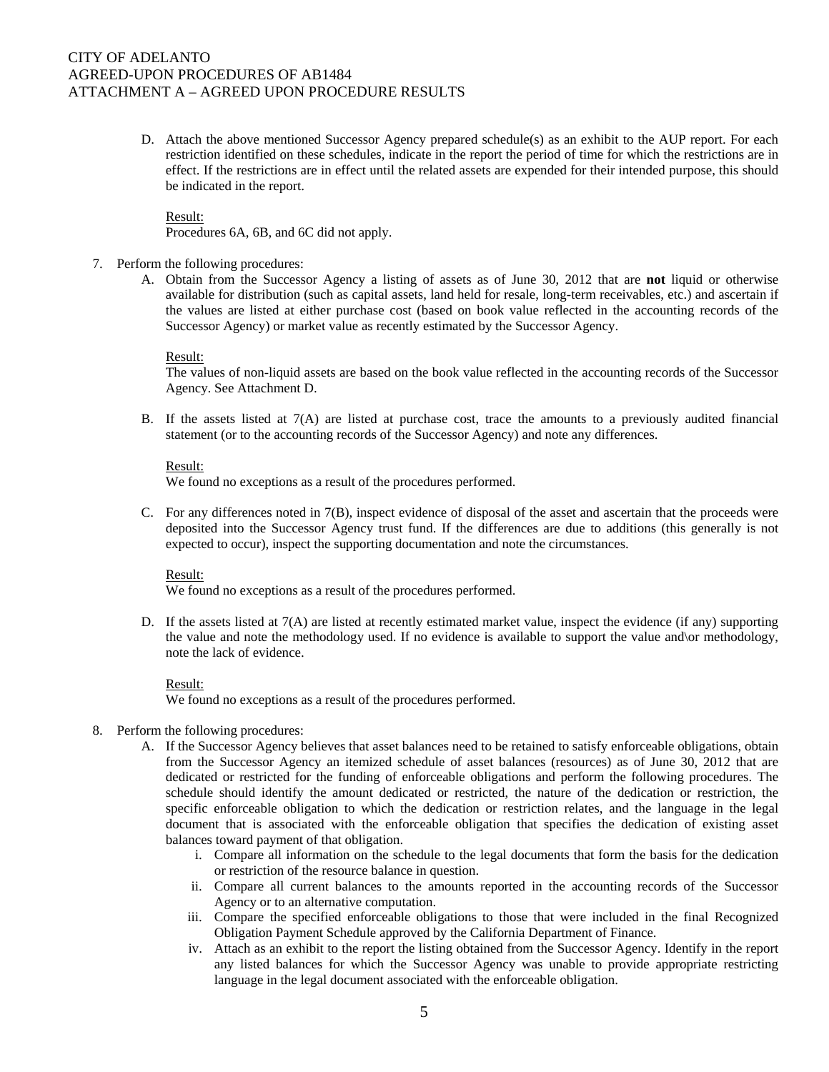D. Attach the above mentioned Successor Agency prepared schedule(s) as an exhibit to the AUP report. For each restriction identified on these schedules, indicate in the report the period of time for which the restrictions are in effect. If the restrictions are in effect until the related assets are expended for their intended purpose, this should be indicated in the report.

Result:

Procedures 6A, 6B, and 6C did not apply.

- 7. Perform the following procedures:
	- A. Obtain from the Successor Agency a listing of assets as of June 30, 2012 that are **not** liquid or otherwise available for distribution (such as capital assets, land held for resale, long-term receivables, etc.) and ascertain if the values are listed at either purchase cost (based on book value reflected in the accounting records of the Successor Agency) or market value as recently estimated by the Successor Agency.

Result:

The values of non-liquid assets are based on the book value reflected in the accounting records of the Successor Agency. See Attachment D.

B. If the assets listed at 7(A) are listed at purchase cost, trace the amounts to a previously audited financial statement (or to the accounting records of the Successor Agency) and note any differences.

#### Result:

We found no exceptions as a result of the procedures performed.

C. For any differences noted in 7(B), inspect evidence of disposal of the asset and ascertain that the proceeds were deposited into the Successor Agency trust fund. If the differences are due to additions (this generally is not expected to occur), inspect the supporting documentation and note the circumstances.

### Result:

We found no exceptions as a result of the procedures performed.

D. If the assets listed at 7(A) are listed at recently estimated market value, inspect the evidence (if any) supporting the value and note the methodology used. If no evidence is available to support the value and\or methodology, note the lack of evidence.

### Result:

We found no exceptions as a result of the procedures performed.

### 8. Perform the following procedures:

- A. If the Successor Agency believes that asset balances need to be retained to satisfy enforceable obligations, obtain from the Successor Agency an itemized schedule of asset balances (resources) as of June 30, 2012 that are dedicated or restricted for the funding of enforceable obligations and perform the following procedures. The schedule should identify the amount dedicated or restricted, the nature of the dedication or restriction, the specific enforceable obligation to which the dedication or restriction relates, and the language in the legal document that is associated with the enforceable obligation that specifies the dedication of existing asset balances toward payment of that obligation.
	- i. Compare all information on the schedule to the legal documents that form the basis for the dedication or restriction of the resource balance in question.
	- ii. Compare all current balances to the amounts reported in the accounting records of the Successor Agency or to an alternative computation.
	- iii. Compare the specified enforceable obligations to those that were included in the final Recognized Obligation Payment Schedule approved by the California Department of Finance.
	- iv. Attach as an exhibit to the report the listing obtained from the Successor Agency. Identify in the report any listed balances for which the Successor Agency was unable to provide appropriate restricting language in the legal document associated with the enforceable obligation.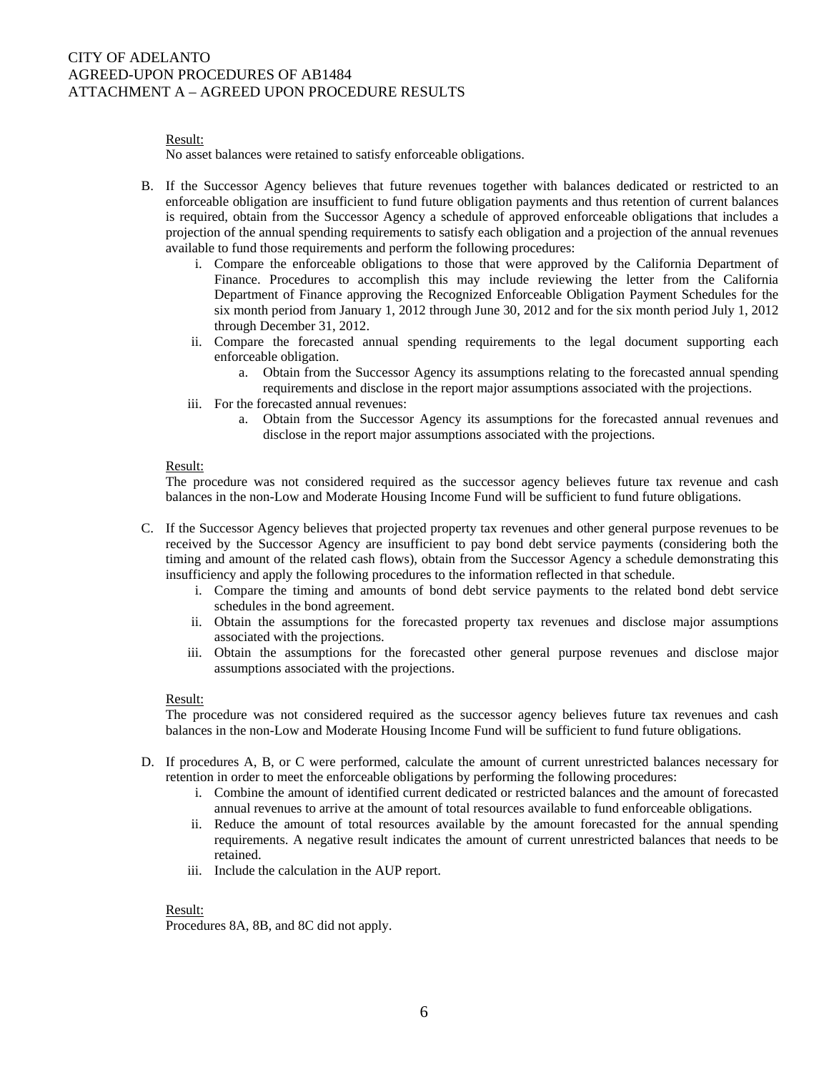### Result:

No asset balances were retained to satisfy enforceable obligations.

- B. If the Successor Agency believes that future revenues together with balances dedicated or restricted to an enforceable obligation are insufficient to fund future obligation payments and thus retention of current balances is required, obtain from the Successor Agency a schedule of approved enforceable obligations that includes a projection of the annual spending requirements to satisfy each obligation and a projection of the annual revenues available to fund those requirements and perform the following procedures:
	- i. Compare the enforceable obligations to those that were approved by the California Department of Finance. Procedures to accomplish this may include reviewing the letter from the California Department of Finance approving the Recognized Enforceable Obligation Payment Schedules for the six month period from January 1, 2012 through June 30, 2012 and for the six month period July 1, 2012 through December 31, 2012.
	- ii. Compare the forecasted annual spending requirements to the legal document supporting each enforceable obligation.
		- a. Obtain from the Successor Agency its assumptions relating to the forecasted annual spending requirements and disclose in the report major assumptions associated with the projections.
	- iii. For the forecasted annual revenues:
		- a. Obtain from the Successor Agency its assumptions for the forecasted annual revenues and disclose in the report major assumptions associated with the projections.

### Result:

The procedure was not considered required as the successor agency believes future tax revenue and cash balances in the non-Low and Moderate Housing Income Fund will be sufficient to fund future obligations.

- C. If the Successor Agency believes that projected property tax revenues and other general purpose revenues to be received by the Successor Agency are insufficient to pay bond debt service payments (considering both the timing and amount of the related cash flows), obtain from the Successor Agency a schedule demonstrating this insufficiency and apply the following procedures to the information reflected in that schedule.
	- i. Compare the timing and amounts of bond debt service payments to the related bond debt service schedules in the bond agreement.
	- ii. Obtain the assumptions for the forecasted property tax revenues and disclose major assumptions associated with the projections.
	- iii. Obtain the assumptions for the forecasted other general purpose revenues and disclose major assumptions associated with the projections.

### Result:

The procedure was not considered required as the successor agency believes future tax revenues and cash balances in the non-Low and Moderate Housing Income Fund will be sufficient to fund future obligations.

- D. If procedures A, B, or C were performed, calculate the amount of current unrestricted balances necessary for retention in order to meet the enforceable obligations by performing the following procedures:
	- i. Combine the amount of identified current dedicated or restricted balances and the amount of forecasted annual revenues to arrive at the amount of total resources available to fund enforceable obligations.
	- ii. Reduce the amount of total resources available by the amount forecasted for the annual spending requirements. A negative result indicates the amount of current unrestricted balances that needs to be retained.
	- iii. Include the calculation in the AUP report.

### Result:

Procedures 8A, 8B, and 8C did not apply.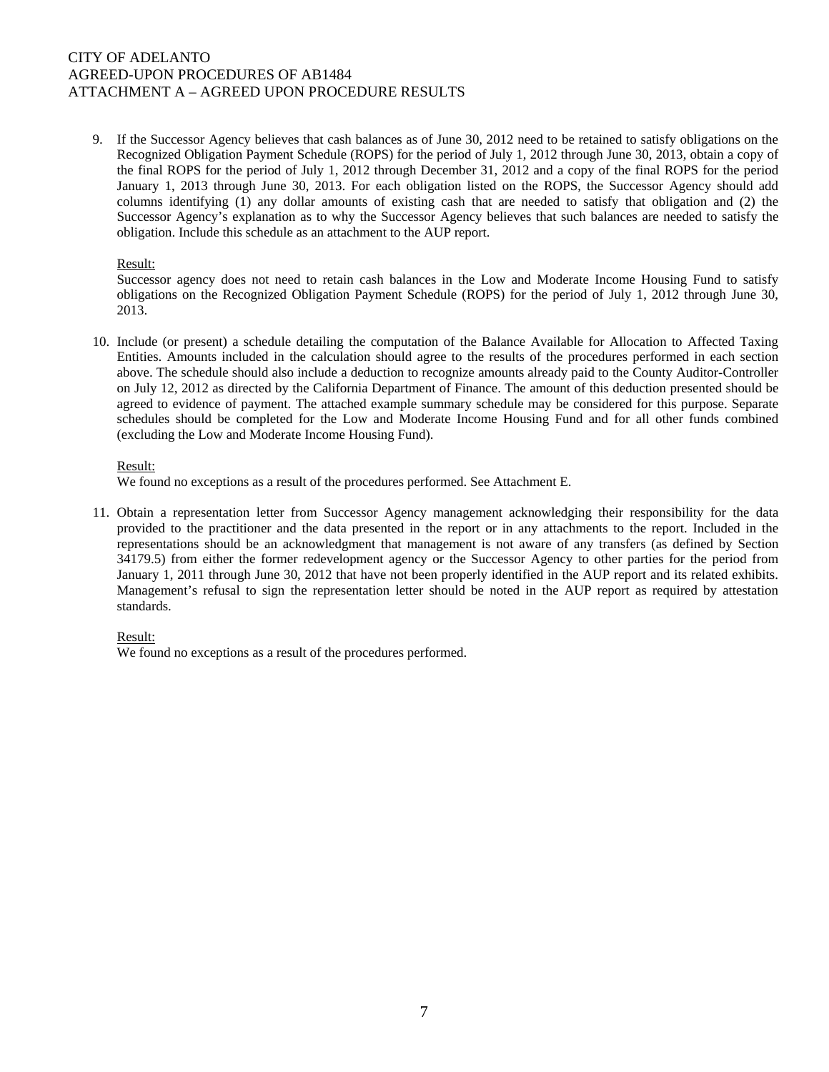9. If the Successor Agency believes that cash balances as of June 30, 2012 need to be retained to satisfy obligations on the Recognized Obligation Payment Schedule (ROPS) for the period of July 1, 2012 through June 30, 2013, obtain a copy of the final ROPS for the period of July 1, 2012 through December 31, 2012 and a copy of the final ROPS for the period January 1, 2013 through June 30, 2013. For each obligation listed on the ROPS, the Successor Agency should add columns identifying (1) any dollar amounts of existing cash that are needed to satisfy that obligation and (2) the Successor Agency's explanation as to why the Successor Agency believes that such balances are needed to satisfy the obligation. Include this schedule as an attachment to the AUP report.

### Result:

Successor agency does not need to retain cash balances in the Low and Moderate Income Housing Fund to satisfy obligations on the Recognized Obligation Payment Schedule (ROPS) for the period of July 1, 2012 through June 30, 2013.

10. Include (or present) a schedule detailing the computation of the Balance Available for Allocation to Affected Taxing Entities. Amounts included in the calculation should agree to the results of the procedures performed in each section above. The schedule should also include a deduction to recognize amounts already paid to the County Auditor-Controller on July 12, 2012 as directed by the California Department of Finance. The amount of this deduction presented should be agreed to evidence of payment. The attached example summary schedule may be considered for this purpose. Separate schedules should be completed for the Low and Moderate Income Housing Fund and for all other funds combined (excluding the Low and Moderate Income Housing Fund).

### Result:

We found no exceptions as a result of the procedures performed. See Attachment E.

11. Obtain a representation letter from Successor Agency management acknowledging their responsibility for the data provided to the practitioner and the data presented in the report or in any attachments to the report. Included in the representations should be an acknowledgment that management is not aware of any transfers (as defined by Section 34179.5) from either the former redevelopment agency or the Successor Agency to other parties for the period from January 1, 2011 through June 30, 2012 that have not been properly identified in the AUP report and its related exhibits. Management's refusal to sign the representation letter should be noted in the AUP report as required by attestation standards.

### Result:

We found no exceptions as a result of the procedures performed.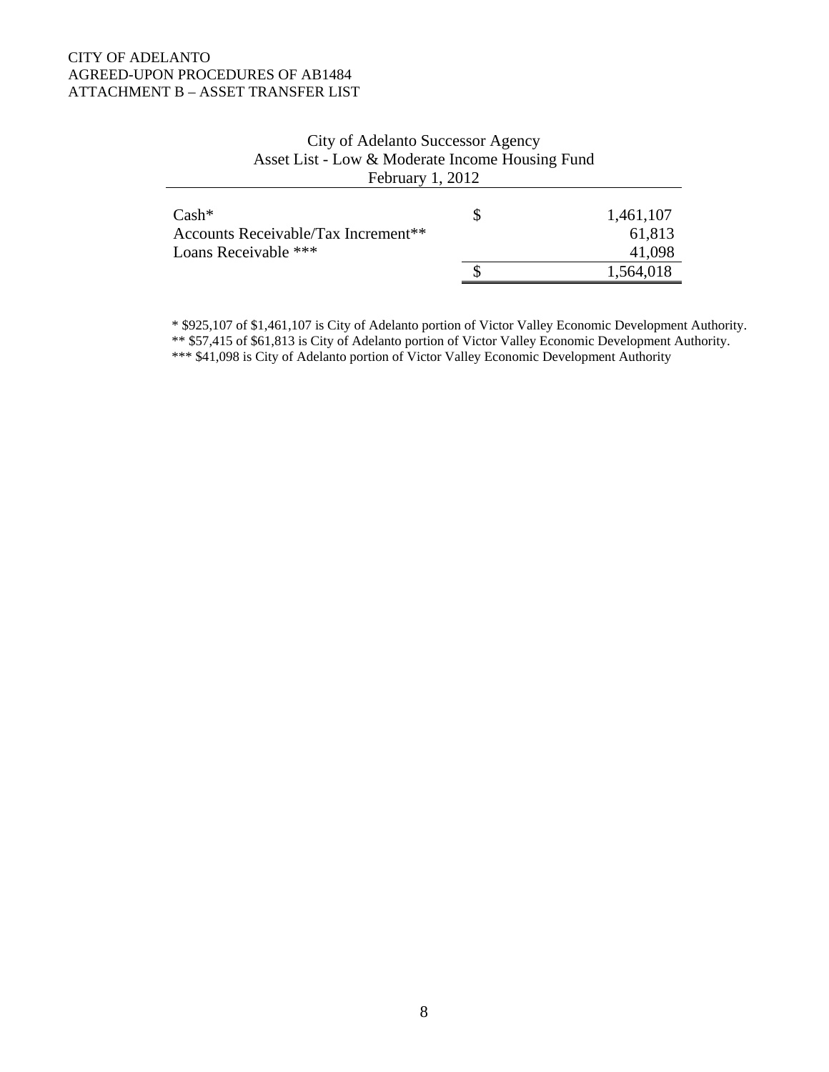# CITY OF ADELANTO AGREED-UPON PROCEDURES OF AB1484 ATTACHMENT B – ASSET TRANSFER LIST

# City of Adelanto Successor Agency Asset List - Low & Moderate Income Housing Fund February 1, 2012

| Cash*                                      | 1,461,107 |
|--------------------------------------------|-----------|
| <b>Accounts Receivable/Tax Increment**</b> | 61,813    |
| Loans Receivable ***                       | 41,098    |
|                                            | 1,564,018 |
|                                            |           |

\* \$925,107 of \$1,461,107 is City of Adelanto portion of Victor Valley Economic Development Authority. \*\* \$57,415 of \$61,813 is City of Adelanto portion of Victor Valley Economic Development Authority. \*\*\* \$41,098 is City of Adelanto portion of Victor Valley Economic Development Authority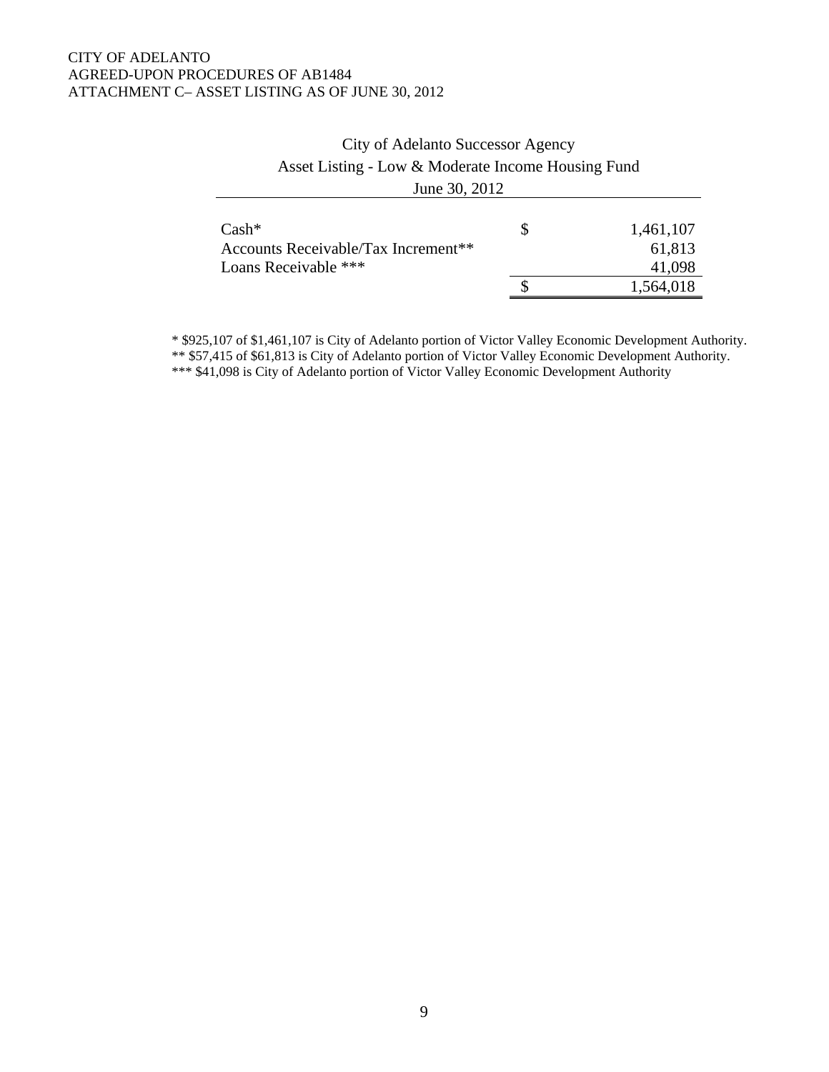# CITY OF ADELANTO AGREED-UPON PROCEDURES OF AB1484 ATTACHMENT C– ASSET LISTING AS OF JUNE 30, 2012

# City of Adelanto Successor Agency Asset Listing - Low & Moderate Income Housing Fund June 30, 2012

| $34.10$ $30.201$                    |  |           |  |
|-------------------------------------|--|-----------|--|
|                                     |  |           |  |
| $Cash*$                             |  | 1,461,107 |  |
| Accounts Receivable/Tax Increment** |  | 61,813    |  |
| Loans Receivable ***                |  | 41,098    |  |
|                                     |  | 1,564,018 |  |

\* \$925,107 of \$1,461,107 is City of Adelanto portion of Victor Valley Economic Development Authority. \*\* \$57,415 of \$61,813 is City of Adelanto portion of Victor Valley Economic Development Authority. \*\*\* \$41,098 is City of Adelanto portion of Victor Valley Economic Development Authority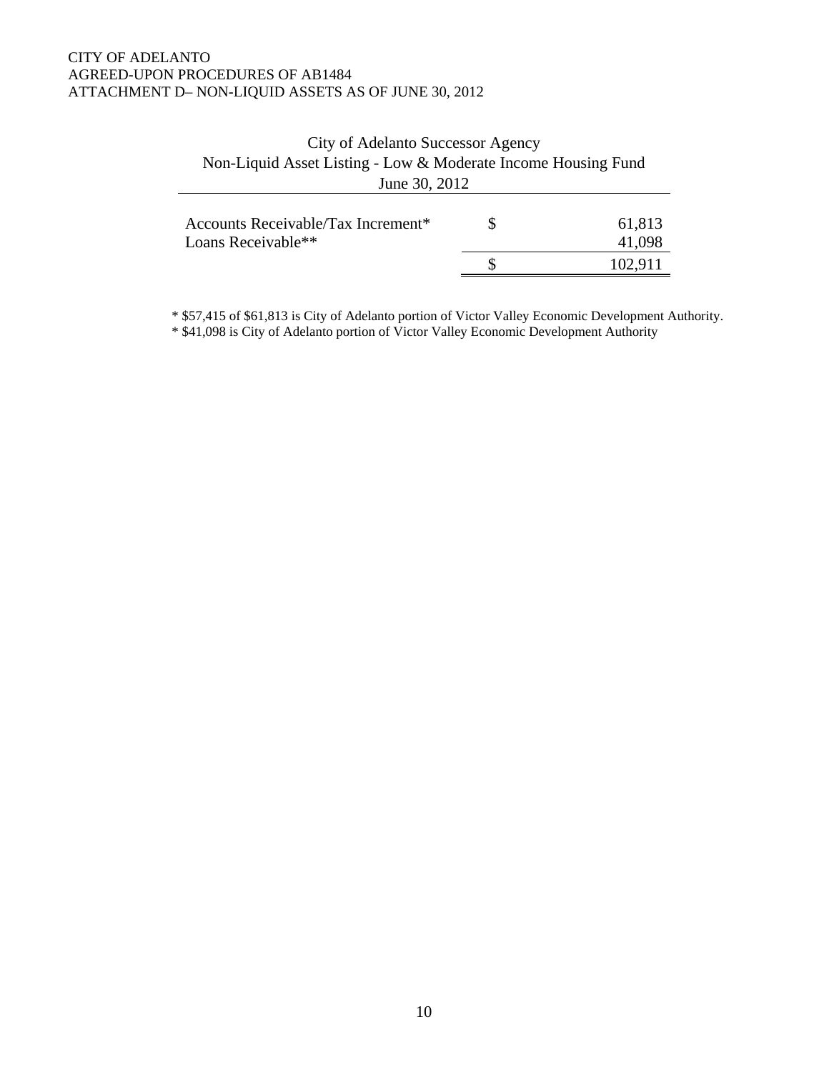# CITY OF ADELANTO AGREED-UPON PROCEDURES OF AB1484 ATTACHMENT D– NON-LIQUID ASSETS AS OF JUNE 30, 2012

# City of Adelanto Successor Agency Non-Liquid Asset Listing - Low & Moderate Income Housing Fund June 30, 2012

| Accounts Receivable/Tax Increment*<br>Loans Receivable** | 61,813<br>41,098 |
|----------------------------------------------------------|------------------|
|                                                          | 102.911          |

\* \$57,415 of \$61,813 is City of Adelanto portion of Victor Valley Economic Development Authority. \* \$41,098 is City of Adelanto portion of Victor Valley Economic Development Authority